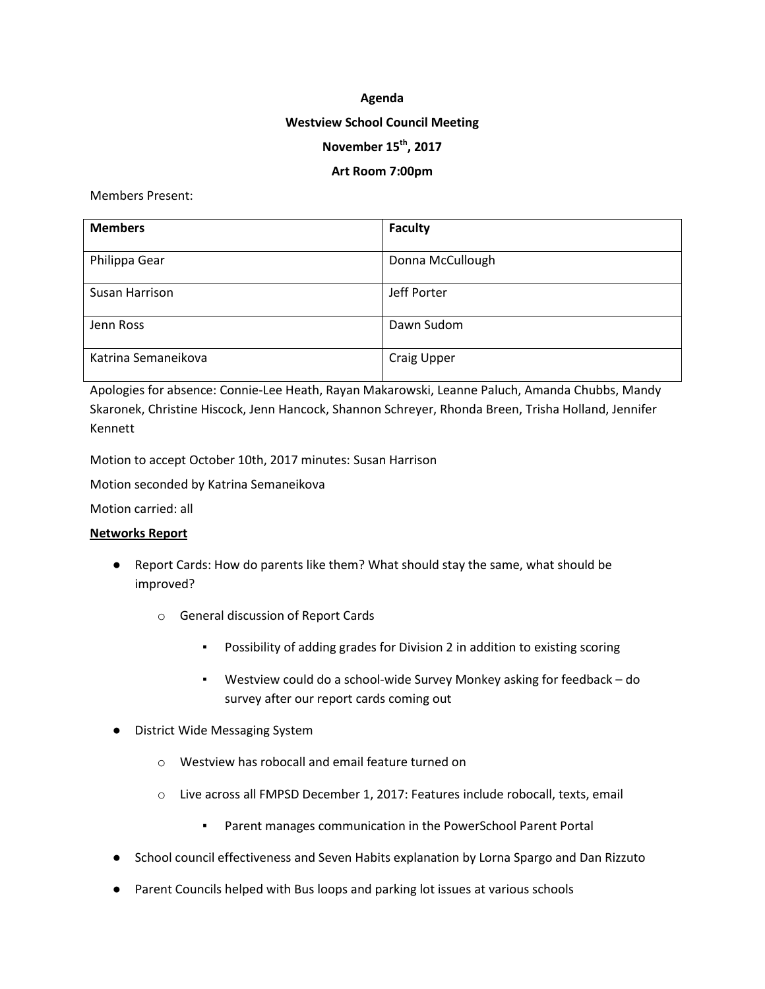#### **Agenda**

#### **Westview School Council Meeting**

# **November 15th, 2017**

### **Art Room 7:00pm**

Members Present:

| <b>Members</b>      | Faculty            |
|---------------------|--------------------|
| Philippa Gear       | Donna McCullough   |
| Susan Harrison      | Jeff Porter        |
| Jenn Ross           | Dawn Sudom         |
| Katrina Semaneikova | <b>Craig Upper</b> |

Apologies for absence: Connie-Lee Heath, Rayan Makarowski, Leanne Paluch, Amanda Chubbs, Mandy Skaronek, Christine Hiscock, Jenn Hancock, Shannon Schreyer, Rhonda Breen, Trisha Holland, Jennifer Kennett

Motion to accept October 10th, 2017 minutes: Susan Harrison

Motion seconded by Katrina Semaneikova

Motion carried: all

### **Networks Report**

- Report Cards: How do parents like them? What should stay the same, what should be improved?
	- o General discussion of Report Cards
		- Possibility of adding grades for Division 2 in addition to existing scoring
		- Westview could do a school-wide Survey Monkey asking for feedback do survey after our report cards coming out
- District Wide Messaging System
	- o Westview has robocall and email feature turned on
	- o Live across all FMPSD December 1, 2017: Features include robocall, texts, email
		- Parent manages communication in the PowerSchool Parent Portal
- School council effectiveness and Seven Habits explanation by Lorna Spargo and Dan Rizzuto
- Parent Councils helped with Bus loops and parking lot issues at various schools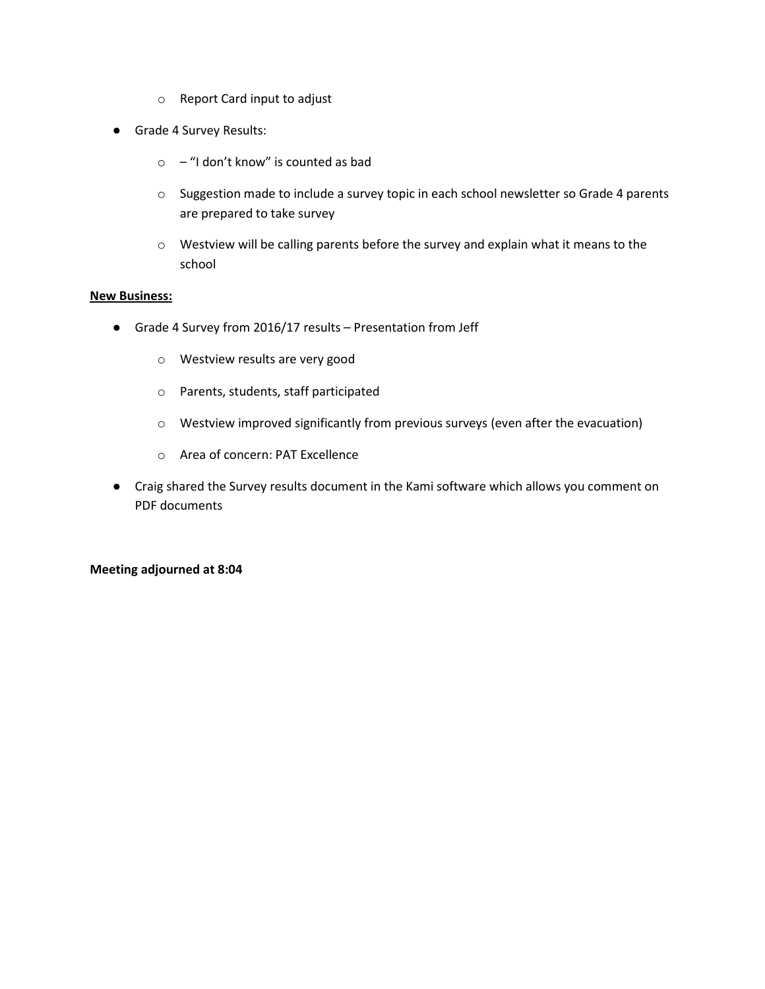- o Report Card input to adjust
- Grade 4 Survey Results:
	- $\circ$  "I don't know" is counted as bad
	- o Suggestion made to include a survey topic in each school newsletter so Grade 4 parents are prepared to take survey
	- o Westview will be calling parents before the survey and explain what it means to the school

#### **New Business:**

- Grade 4 Survey from 2016/17 results Presentation from Jeff
	- o Westview results are very good
	- o Parents, students, staff participated
	- o Westview improved significantly from previous surveys (even after the evacuation)
	- o Area of concern: PAT Excellence
- Craig shared the Survey results document in the Kami software which allows you comment on PDF documents

### **Meeting adjourned at 8:04**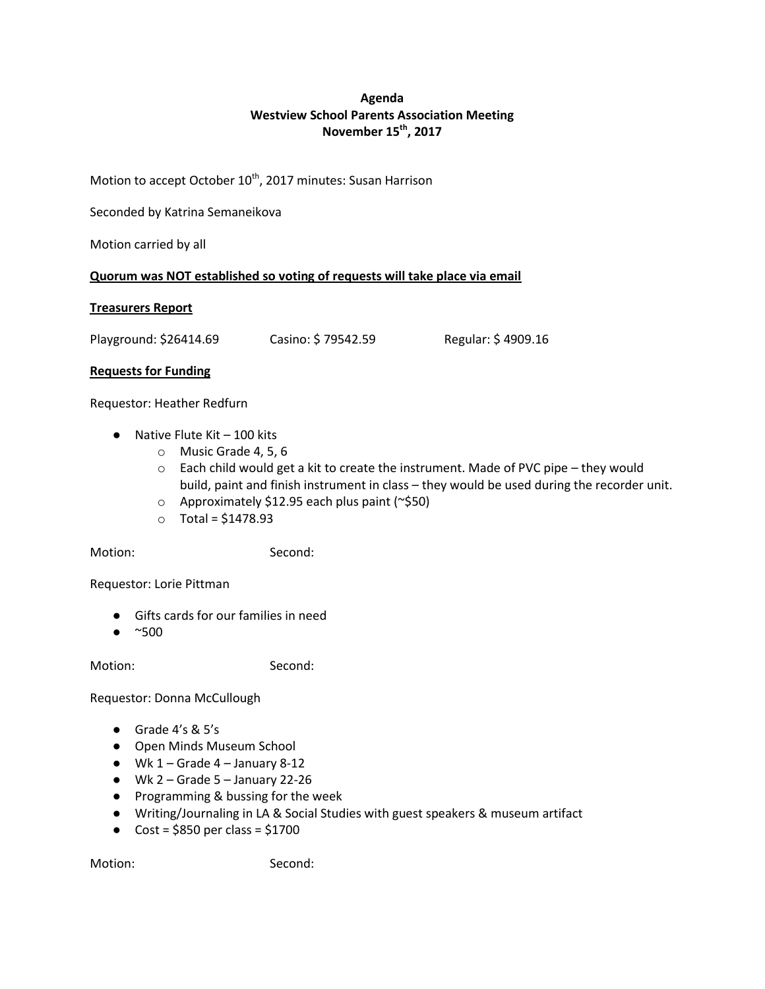# **Agenda Westview School Parents Association Meeting November 15th, 2017**

Motion to accept October 10<sup>th</sup>, 2017 minutes: Susan Harrison

Seconded by Katrina Semaneikova

Motion carried by all

### **Quorum was NOT established so voting of requests will take place via email**

### **Treasurers Report**

Playground: \$26414.69 Casino: \$ 79542.59 Regular: \$ 4909.16

### **Requests for Funding**

Requestor: Heather Redfurn

- $\bullet$  Native Flute Kit 100 kits
	- o Music Grade 4, 5, 6
	- $\circ$  Each child would get a kit to create the instrument. Made of PVC pipe they would build, paint and finish instrument in class – they would be used during the recorder unit.
	- o Approximately \$12.95 each plus paint (~\$50)
	- $\circ$  Total = \$1478.93

Motion: Second:

Requestor: Lorie Pittman

- Gifts cards for our families in need
- $\bullet$  ~500

Motion: Second:

Requestor: Donna McCullough

- Grade 4's & 5's
- Open Minds Museum School
- $\bullet$  Wk 1 Grade 4 January 8-12
- $\bullet$  Wk 2 Grade 5 January 22-26
- Programming & bussing for the week
- Writing/Journaling in LA & Social Studies with guest speakers & museum artifact
- Cost =  $$850$  per class =  $$1700$

Motion: Second: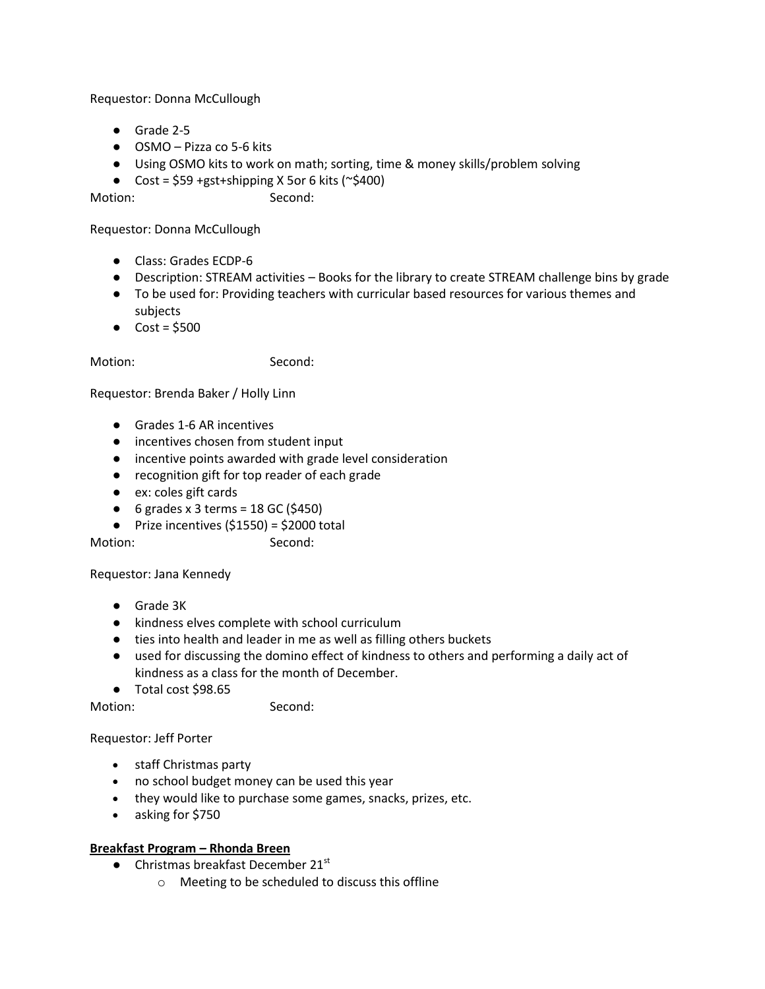Requestor: Donna McCullough

- Grade 2-5
- OSMO Pizza co 5-6 kits
- Using OSMO kits to work on math; sorting, time & money skills/problem solving
- Cost =  $$59$  +gst+shipping X 5or 6 kits ( $\degree$ \$400)

Motion: Second:

Requestor: Donna McCullough

- Class: Grades ECDP-6
- Description: STREAM activities Books for the library to create STREAM challenge bins by grade
- To be used for: Providing teachers with curricular based resources for various themes and subjects
- $\bullet$  Cost = \$500

Motion: Second:

Requestor: Brenda Baker / Holly Linn

- Grades 1-6 AR incentives
- incentives chosen from student input
- incentive points awarded with grade level consideration
- recognition gift for top reader of each grade
- ex: coles gift cards
- $\bullet$  6 grades x 3 terms = 18 GC (\$450)
- $\bullet$  Prize incentives (\$1550) = \$2000 total

Motion: Second:

Requestor: Jana Kennedy

- Grade 3K
- kindness elves complete with school curriculum
- ties into health and leader in me as well as filling others buckets
- used for discussing the domino effect of kindness to others and performing a daily act of kindness as a class for the month of December.
- Total cost \$98.65

Motion: Second:

Requestor: Jeff Porter

- staff Christmas party
- no school budget money can be used this year
- they would like to purchase some games, snacks, prizes, etc.
- asking for \$750

### **Breakfast Program – Rhonda Breen**

- $\bullet$  Christmas breakfast December 21st
	- o Meeting to be scheduled to discuss this offline